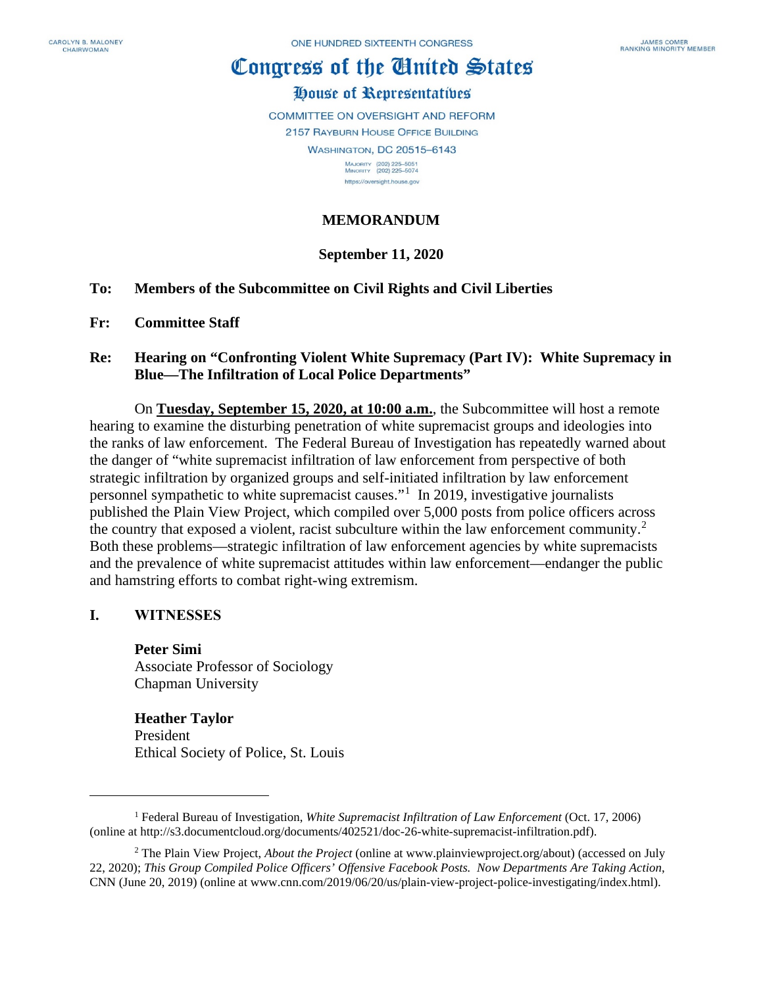# Congress of the Ginited States

# House of Representatives

COMMITTEE ON OVERSIGHT AND REFORM 2157 RAYBURN HOUSE OFFICE BUILDING **WASHINGTON, DC 20515-6143** 

MAJORITY (202) 225-5051<br>MINORITY (202) 225-5074 https://oversight.house.gov

### **MEMORANDUM**

# **September 11, 2020**

- **To: Members of the Subcommittee on Civil Rights and Civil Liberties**
- **Fr: Committee Staff**

#### **Re: Hearing on "Confronting Violent White Supremacy (Part IV): White Supremacy in Blue—The Infiltration of Local Police Departments"**

On **Tuesday, September 15, 2020, at 10:00 a.m.**, the Subcommittee will host a remote hearing to examine the disturbing penetration of white supremacist groups and ideologies into the ranks of law enforcement. The Federal Bureau of Investigation has repeatedly warned about the danger of "white supremacist infiltration of law enforcement from perspective of both strategic infiltration by organized groups and self-initiated infiltration by law enforcement personnel sympathetic to white supremacist causes."[1](#page-0-0) In 2019, investigative journalists published the Plain View Project, which compiled over 5,000 posts from police officers across the country that exposed a violent, racist subculture within the law enforcement community.<sup>[2](#page-0-1)</sup> Both these problems—strategic infiltration of law enforcement agencies by white supremacists and the prevalence of white supremacist attitudes within law enforcement—endanger the public and hamstring efforts to combat right-wing extremism.

#### **I. WITNESSES**

**Peter Simi** Associate Professor of Sociology Chapman University

**Heather Taylor** President Ethical Society of Police, St. Louis

<span id="page-0-0"></span><sup>1</sup> Federal Bureau of Investigation, *White Supremacist Infiltration of Law Enforcement* (Oct. 17, 2006) (online at http://s3.documentcloud.org/documents/402521/doc-26-white-supremacist-infiltration.pdf).

<span id="page-0-1"></span><sup>2</sup> The Plain View Project, *About the Project* (online at www.plainviewproject.org/about) (accessed on July 22, 2020); *This Group Compiled Police Officers' Offensive Facebook Posts. Now Departments Are Taking Action*, CNN (June 20, 2019) (online at www.cnn.com/2019/06/20/us/plain-view-project-police-investigating/index.html).